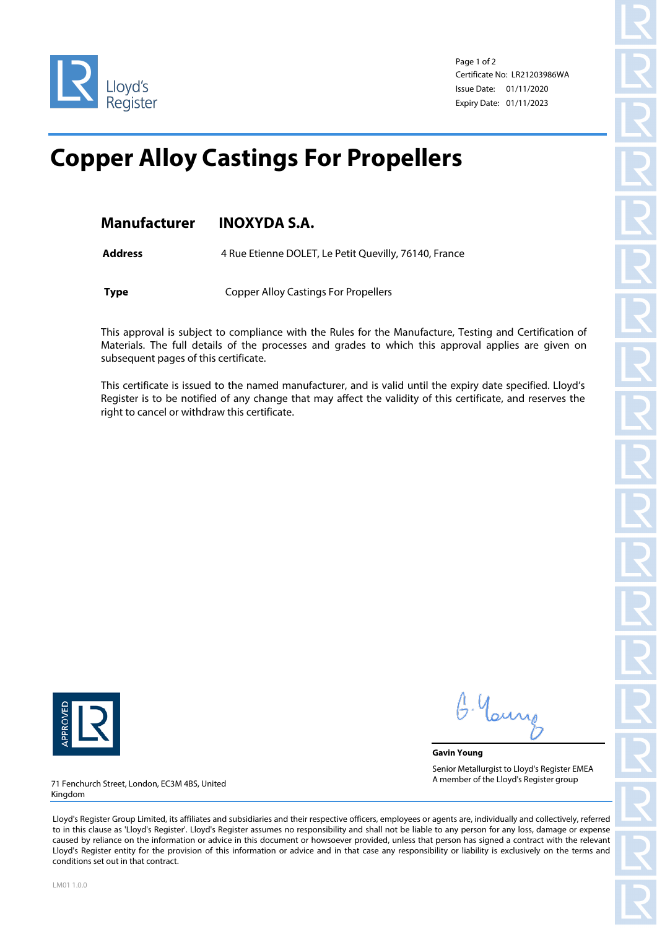

Page 1 of 2 Certificate No: LR21203986WA Issue Date: 01/11/2020 Expiry Date: 01/11/2023

## **Copper Alloy Castings For Propellers**

Address 4 Rue Etienne DOLET, Le Petit Quevilly, 76140, France

**Type** Copper Alloy Castings For Propellers

This approval is subject to compliance with the Rules for the Manufacture, Testing and Certification of Materials. The full details of the processes and grades to which this approval applies are given on subsequent pages of this certificate.

This certificate is issued to the named manufacturer, and is valid until the expiry date specified. Lloyd's Register is to be notified of any change that may affect the validity of this certificate, and reserves the right to cancel or withdraw this certificate.



G. Your

**Gavin Young** Senior Metallurgist to Lloyd's Register EMEA A member of the Lloyd's Register group

71 Fenchurch Street, London, EC3M 4BS, United Kingdom

Lloyd's Register Group Limited, its affiliates and subsidiaries and their respective officers, employees or agents are, individually and collectively, referred to in this clause as 'Lloyd's Register'. Lloyd's Register assumes no responsibility and shall not be liable to any person for any loss, damage or expense caused by reliance on the information or advice in this document or howsoever provided, unless that person has signed a contract with the relevant Lloyd's Register entity for the provision of this information or advice and in that case any responsibility or liability is exclusively on the terms and conditions set out in that contract.